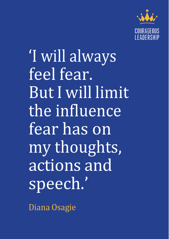

'I will always feel fear. But I will limit the influence fear has on my thoughts, actions and speech.'

Diana Osagie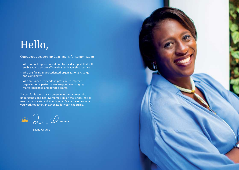# Hello,

*Courageous Leadership Coaching is for senior leaders;*

- *Who are looking for honest and focused support that will enable you to secure efficacy in your leadership journey.*
- *Who are facing unprecedented organizational change and complexity.*
- *Who are under tremendous pressure to improve organizational performance, respond to changing market demands and develop teams.*

*Successful leaders have someone in their corner who understands and has overcome similar challenges. We all need an advocate and that is what Diana becomes when you work together, an advocate for your leadership.*

vi 2 Q

*Diana Osagie*

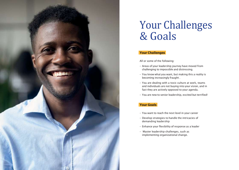

# Your Challenges & Goals

## **Your Challenges**

*All or some of the following:*

- *Areas of your leadership journey have moved from challenging to impossible and distressing.*
- *You know what you want, but making this a reality is becoming increasingly fraught .*
- *You are dealing with a toxic culture at work, teams and individuals are not buying into your vision, and in fact they are actively opposed to your agenda.*
- *You are new to senior leadership, excited but terrified!*

# **Your Goals**

- *You want to reach the next level in your career*
- *Develop strategies to handle the intricacies of demanding leadership*
- *Enhance your flexibility of response as a leader*
- *Master leadership challenges, such as implementing organizational change.*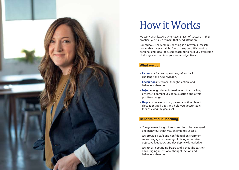

# How it Works

*We work with leaders who have a level of success in their practice, yet issues remain that need attention.*

*Courageous Leadership Coaching is a proven successful model that gives straight forward support. We provide personalized, goal-focused coaching to help you overcome challenges and achieve your career objectives.*

## **What we do**

- **Listen,** *ask focused questions, reflect back, challenge and acknowledge.*
- **Encourage** *intentional thought, action, and behaviour changes.*
- **Inject** *enough dynamic tension into the coaching process to compel you to take action and affect positive change.*
- **Help** *you develop strong personal action plans to close identified gaps and hold you accountable for achieving the goals set.*

## **Benefits of our Coaching**

- *You gain new insight into strengths to be leveraged and behaviours that may be limiting success.*
- *We provide a safe and confidential environment so you engage in meaningful dialogue, receive objective feedback, and develop new knowledge.*
- *We act as a sounding board and a thought partner, encouraging intentional thought, action and behaviour changes.*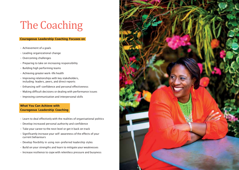# The Coaching

### **Courageous Leadership Coaching Focuses on**

- *Achievement of a goals*
- *Leading organizational change*
- *Overcoming challenges*
- *Preparing to take on increasing responsibility*
- *Building high performing teams*
- *Achieving greater work-life health*
- *Improving relationships with key stakeholders, including: leaders, peers, and direct reports*
- *Enhancing self-confidence and personal effectiveness*
- *Making difficult decisions or dealing with performance issues*
- *Improving communication and interpersonal skills*

## **What You Can Achieve with Courageous Leadership Coaching**

- *Learn to deal effectively with the realities of organisational politics*
- *Develop increased personal authority and confidence*
- *Take your career to the next level or get it back on track*
- *Significantly increase your self-awareness of the effects of your current behaviours*
- *Develop flexibility in using non-preferred leadership styles*
- *Build on your strengths and learn to mitigate your weaknesses*
- *Increase resilience to cope with relentless pressure and busyness*

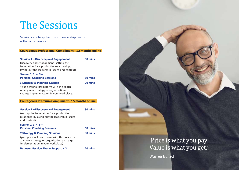# The Sessions

*Sessions are bespoke to your leadership needs within a framework.*

### **Courageous Professional Compliment - 12 months online**

| Session 1 - Discovery and Engagement          | 30 mins |
|-----------------------------------------------|---------|
| Discovery and engagement (setting the         |         |
| foundation for a productive relationship,     |         |
| laying out the leadership issues and context) |         |
| Session 2, 3, 4, $5 -$                        |         |

# **Personal Coaching Sessions 60 mins**

# **1 Strategy & Planning Session 90 mins**

*Your personal brainstorm with the coach on any new strategy or organisational change implementation in your workplace.*

## **Courageous Premium Compliment - 15 months online**

| Session 1 – Discovery and Engagement<br>(setting the foundation for a productive<br>relationship, laying out the leadership issues<br>and context)                         | 30 mins |
|----------------------------------------------------------------------------------------------------------------------------------------------------------------------------|---------|
| Session 2, 3, 4, $5 -$<br><b>Personal Coaching Sessions</b>                                                                                                                | 60 mins |
| <b>2 Strategy &amp; Planning Sessions</b><br>(your personal brainstorm with the coach on<br>any new strategy or organisational change<br>implementation in your workplace) | 90 mins |
| <b>Between Session Phone Support x 2</b>                                                                                                                                   | 20 mins |

'Price is what you pay. Value is what you get.'

**Warren Buffett**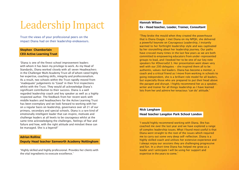# Leadership Impact

*Trust the views of your professional peers on the impact Diana had on their leadership endeavours.*

## **Stephen Chamberlain CEO Active Learning Trust**

'Diana *is one of the finest school improvement leaders with whom it has been my privilege to work. As my Head of Standards, Diana worked closely with all seven Headteachers in the Challenger Multi Academy Trust all of whom rated highly her expertise, coaching skills, integrity and professionalism. As a result, two schools within the Trust rapidly moved from*  'inadequate' judgements to 'Good' in their first inspections *whilst with the Trust. The*y would all acknowledge Diana's *significant contribution to their success. Diana is a well regarded leadership coach and key speaker as well as a highly respected author. The feedback from her recent work with middle leaders and headteachers for the Active Learning Trust has been exemplary and we look forward to working with her on a regular basis on leadership, governance over all 21 of our primary, secondary and special schools. Diana is a rare kind of emotionally intelligent leader that can inspire, motivate and challenge leaders at all levels to be courageous whilst at the same time acknowledging the challenges, feelings of fear and failure and how, with the right attitude and mindset these can be managed. She is a* legend!'

### **Adrian Rollins**

## **Deputy Head teacher Samworth Academy Nottingham**

'Highly *skilled and highly professional. Provides her clients with the vital ingredients to execute* excellence.'

#### **Hannah Wilson**

### **Ex - Head teacher, Leader, Trainer, Consultant**

'They broke the mould when they created the powerhouse *that is Diana Osagie. I met Diana on my NPQH, she delivered a powerful keynote on Courageous Leadership, I instantly warmed to her forthright leadership style and was captivated by her storytelling about her leadership journey. Our paths have crossed many times in the last few years as we are both committed to empowering educators from under-represented groups to lead, and I booked her to be one of our key note speakers for #DiverseEd 3. Her presentation went down very well with our 200 delegates - she inspired them all to be authentic, values-led leaders. Diana has become a mentor, a coach and a critical friend as I move from working in schools to going independent, she is a brilliant role model for all leaders, but especially those who are prepared to put their head above the parapet and disrupt. I highly recommend her as a speaker, writer and trainer for all things leadership as I have learned lots from her and admire her tenacious* 'can do' attitude.'

### **Nick Langham**

### **Head teacher Langdon Park School London**

'I would highly recommend working with Diana. She has *coached me over the last year and we have explored a range of complex leadership issues. What I found most useful is that Diana went straight to the root of the issues which required me to carry out some very deep self-reflection. Diana is a highly skilled coach and utilises her extensive experience and I always enjoy our sessions they are challenging progressive and fun. In a short time Diana has helped me grow as a leader and I anticipate I will be using her support and expertise in the years to* come.'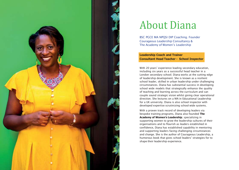

# About Diana

*BSC PGCE MA NPQSI DIP Coaching. Founder Courageous Leadership Consultancy & The Academy of* Women's *Leadership*

## **Leadership Coach and Trainer Consultant Head Teacher - School Inspector**

With 20 years' experience leading secondary education, *including six years as a successful head teacher in a London secondary school; Diana works at the cutting edge of leadership development. She is known as a resilient school leader, skilled in urban leadership under challenging circumstances. Diana has substantial success in developing school wide models that strategically enhance the quality of teaching and learning across the curriculum and can couple sound strategic vision whilst giving clear operational direction. She lectures on a MA in Educational Leadership for a UK university. Diana is also school inspector with developed expertise scrutinizing school wide systems.*

*With a proven track record of developing leaders via bespoke training programs, Diana also founded* **The Academy of Women's Leadership***; specializing in supporting women to grow the leadership cultures of their organisations and to flourish as leaders established in confidence, Diana has established capability in mentoring and supporting leaders facing challenging circumstances and change. She is the author of Courageous Leadership, a*  humorous book that gives school leaders' strategies for to *shape their leadership experience.*